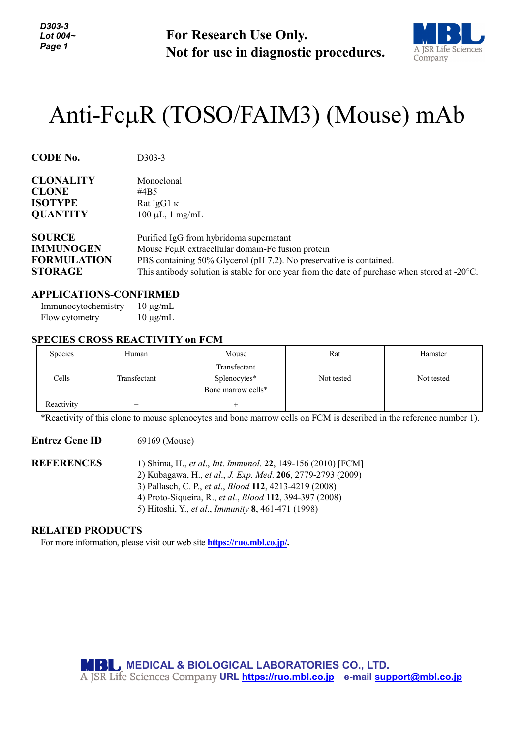**For Research Use Only. Not for use in diagnostic procedures.**



# Anti-FcµR (TOSO/FAIM3) (Mouse) mAb

| <b>CODE No.</b>    | D <sub>3</sub> 03-3                                                                                     |  |  |
|--------------------|---------------------------------------------------------------------------------------------------------|--|--|
| <b>CLONALITY</b>   | Monoclonal                                                                                              |  |  |
| <b>CLONE</b>       | #4B5                                                                                                    |  |  |
| <b>ISOTYPE</b>     | Rat IgG1 $\kappa$                                                                                       |  |  |
| <b>QUANTITY</b>    | $100 \mu L$ , 1 mg/mL                                                                                   |  |  |
| <b>SOURCE</b>      | Purified IgG from hybridoma supernatant                                                                 |  |  |
| <b>IMMUNOGEN</b>   | Mouse FouR extracellular domain-Fo fusion protein                                                       |  |  |
| <b>FORMULATION</b> | PBS containing 50% Glycerol (pH 7.2). No preservative is contained.                                     |  |  |
| <b>STORAGE</b>     | This antibody solution is stable for one year from the date of purchase when stored at $-20^{\circ}$ C. |  |  |

#### **APPLICATIONS-CONFIRMED**

Immunocytochemistry 10 µg/mL Flow cytometry  $10 \mu g/mL$ 

#### **SPECIES CROSS REACTIVITY on FCM**

| Species    | Human        | Mouse                                              | Rat        | Hamster    |
|------------|--------------|----------------------------------------------------|------------|------------|
| Cells      | Transfectant | Transfectant<br>Splenocytes*<br>Bone marrow cells* | Not tested | Not tested |
| Reactivity |              |                                                    |            |            |

\*Reactivity of this clone to mouse splenocytes and bone marrow cells on FCM is described in the reference number 1).

#### **Entrez Gene ID** 69169 (Mouse)

**REFERENCES** 1) Shima, H., *et al*., *Int*. *Immunol*. **22**, 149-156 (2010) [FCM] 2) Kubagawa, H., *et al*., *J. Exp. Med*. **206**, 2779-2793 (2009)

- 3) Pallasch, C. P., *et al*., *Blood* **112**, 4213-4219 (2008)
- 4) Proto-Siqueira, R., *et al*., *Blood* **112**, 394-397 (2008)
- 5) Hitoshi, Y., *et al*., *Immunity* **8**, 461-471 (1998)

#### **RELATED PRODUCTS**

For more information, please visit our web site **[https://ruo.mbl.co.jp/.](https://ruo.mbl.co.jp/)**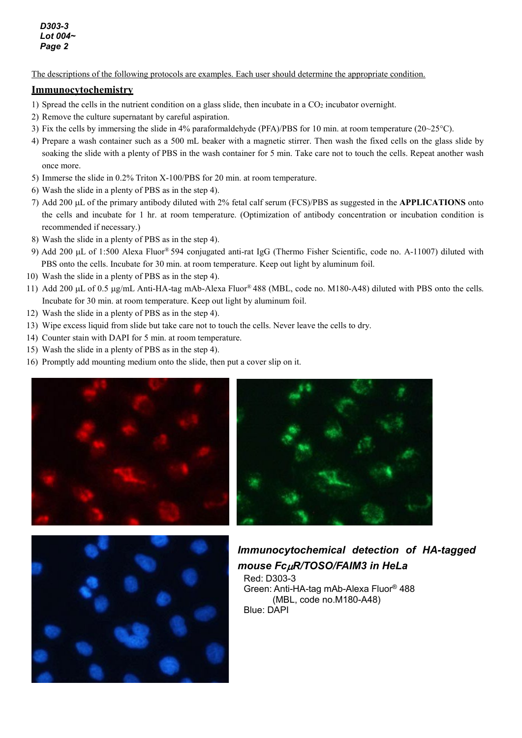The descriptions of the following protocols are examples. Each user should determine the appropriate condition.

#### **Immunocytochemistry**

- 1) Spread the cells in the nutrient condition on a glass slide, then incubate in a CO2 incubator overnight.
- 2) Remove the culture supernatant by careful aspiration.
- 3) Fix the cells by immersing the slide in 4% paraformaldehyde (PFA)/PBS for 10 min. at room temperature (20~25°C).
- 4) Prepare a wash container such as a 500 mL beaker with a magnetic stirrer. Then wash the fixed cells on the glass slide by soaking the slide with a plenty of PBS in the wash container for 5 min. Take care not to touch the cells. Repeat another wash once more.
- 5) Immerse the slide in 0.2% Triton X-100/PBS for 20 min. at room temperature.
- 6) Wash the slide in a plenty of PBS as in the step 4).
- 7) Add 200 µL of the primary antibody diluted with 2% fetal calf serum (FCS)/PBS as suggested in the **APPLICATIONS** onto the cells and incubate for 1 hr. at room temperature. (Optimization of antibody concentration or incubation condition is recommended if necessary.)
- 8) Wash the slide in a plenty of PBS as in the step 4).
- 9) Add 200 µL of 1:500 Alexa Fluor® 594 conjugated anti-rat IgG (Thermo Fisher Scientific, code no. A-11007) diluted with PBS onto the cells. Incubate for 30 min. at room temperature. Keep out light by aluminum foil.
- 10) Wash the slide in a plenty of PBS as in the step 4).
- 11) Add 200 µL of 0.5 µg/mL Anti-HA-tag mAb-Alexa Fluor® 488 (MBL, code no. M180-A48) diluted with PBS onto the cells. Incubate for 30 min. at room temperature. Keep out light by aluminum foil.
- 12) Wash the slide in a plenty of PBS as in the step 4).
- 13) Wipe excess liquid from slide but take care not to touch the cells. Never leave the cells to dry.
- 14) Counter stain with DAPI for 5 min. at room temperature.
- 15) Wash the slide in a plenty of PBS as in the step 4).
- 16) Promptly add mounting medium onto the slide, then put a cover slip on it.





## *Immunocytochemical detection of HA-tagged*

*mouse Fc*µ*R/TOSO/FAIM3 in HeLa* Red: D303-3 Green: Anti-HA-tag mAb-Alexa Fluor® 488 (MBL, code no.M180-A48) Blue: DAPI